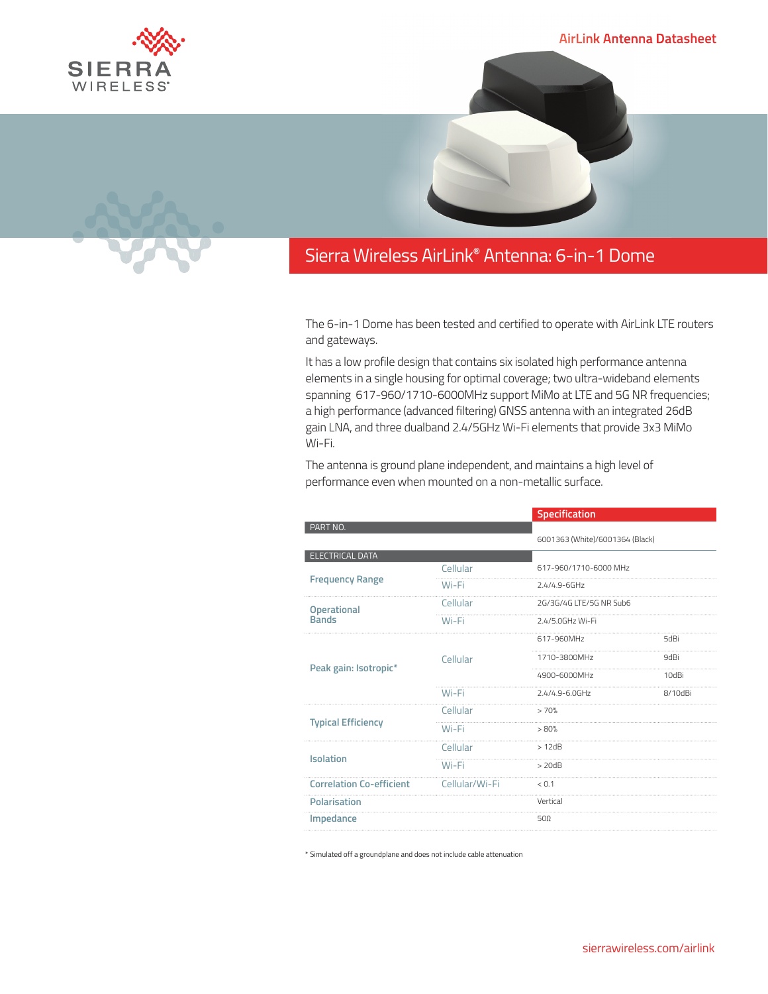SIERI WIRELESS



## Sierra Wireless **EMBEDDED MODULES HL SERIES** airlink**®** antenna: 6-in-1 Dome

The 6-in-1 Dome has been tested and certified to operate with AirLink LTE routers and gateways.

It has a low profile design that contains six isolated high performance antenna elements in a single housing for optimal coverage; two ultra-wideband elements spanning 617-960/1710-6000MHz support MiMo at LTE and 5G NR frequencies; a high performance (advanced filtering) GNSS antenna with an integrated 26dB gain LNA, and three dualband 2.4/5GHz Wi-Fi elements that provide 3x3 MiMo Wi-Fi.

The antenna is ground plane independent, and maintains a high level of performance even when mounted on a non-metallic surface.

|                | Specification           |                                 |
|----------------|-------------------------|---------------------------------|
|                |                         |                                 |
|                |                         |                                 |
| Cellular       | 617-960/1710-6000 MHz   |                                 |
| Wi-Fi          | $2.4/4.9 - 6$ GHz       |                                 |
| Cellular       | 2G/3G/4G LTE/5G NR Sub6 |                                 |
| Wi-Fi          | 2.4/5.0GHz Wi-Fi        |                                 |
| Cellular       | 617-960MHz              | 5dBi                            |
|                | 1710-3800MHz            | 9dBi                            |
|                | 4900-6000MHz            | 10dBi                           |
| Wi-Fi          | $2.4/4.9 - 6.0$ GHz     | 8/10dBi                         |
| Cellular       | >70%                    |                                 |
| Wi-Fi          | >80%                    |                                 |
| Cellular       | >12dB                   |                                 |
| Wi-Fi          | $>$ 20dB                |                                 |
|                |                         |                                 |
| Cellular/Wi-Fi | < 0.1                   |                                 |
|                | Vertical                |                                 |
|                |                         | 6001363 (White)/6001364 (Black) |

\* Simulated off a groundplane and does not include cable attenuation